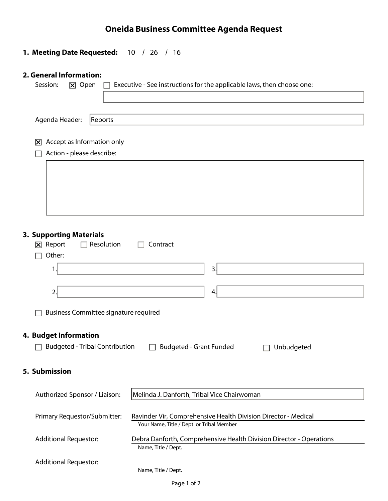### **Oneida Business Committee Agenda Request**

## **1. Meeting Date Requested:**  $\frac{10}{16}$  /  $\frac{26}{16}$  /  $\frac{16}{16}$

### 2. General Information:

| Session:<br>$\boxed{\mathsf{x}}$ Open                        | Executive - See instructions for the applicable laws, then choose one: |  |  |  |  |  |  |
|--------------------------------------------------------------|------------------------------------------------------------------------|--|--|--|--|--|--|
|                                                              |                                                                        |  |  |  |  |  |  |
| Agenda Header:<br>Reports                                    |                                                                        |  |  |  |  |  |  |
|                                                              |                                                                        |  |  |  |  |  |  |
| Accept as Information only<br>冈<br>Action - please describe: |                                                                        |  |  |  |  |  |  |
|                                                              |                                                                        |  |  |  |  |  |  |
|                                                              |                                                                        |  |  |  |  |  |  |
|                                                              |                                                                        |  |  |  |  |  |  |
|                                                              |                                                                        |  |  |  |  |  |  |
|                                                              |                                                                        |  |  |  |  |  |  |
|                                                              |                                                                        |  |  |  |  |  |  |
| <b>3. Supporting Materials</b>                               |                                                                        |  |  |  |  |  |  |
| Resolution<br>$\boxed{\mathsf{X}}$ Report<br>Other:          | Contract                                                               |  |  |  |  |  |  |
|                                                              |                                                                        |  |  |  |  |  |  |
| 3.<br>1                                                      |                                                                        |  |  |  |  |  |  |
| 4.<br>2.                                                     |                                                                        |  |  |  |  |  |  |
|                                                              |                                                                        |  |  |  |  |  |  |
| <b>Business Committee signature required</b>                 |                                                                        |  |  |  |  |  |  |
|                                                              |                                                                        |  |  |  |  |  |  |
| 4. Budget Information                                        |                                                                        |  |  |  |  |  |  |
| <b>Budgeted - Tribal Contribution</b>                        | <b>Budgeted - Grant Funded</b><br>Unbudgeted                           |  |  |  |  |  |  |
|                                                              |                                                                        |  |  |  |  |  |  |
| 5. Submission                                                |                                                                        |  |  |  |  |  |  |
| Authorized Sponsor / Liaison:                                | Melinda J. Danforth, Tribal Vice Chairwoman                            |  |  |  |  |  |  |
|                                                              |                                                                        |  |  |  |  |  |  |
| Primary Requestor/Submitter:                                 | Ravinder Vir, Comprehensive Health Division Director - Medical         |  |  |  |  |  |  |
|                                                              | Your Name, Title / Dept. or Tribal Member                              |  |  |  |  |  |  |
| <b>Additional Requestor:</b>                                 | Debra Danforth, Comprehensive Health Division Director - Operations    |  |  |  |  |  |  |
|                                                              | Name, Title / Dept.                                                    |  |  |  |  |  |  |
| <b>Additional Requestor:</b>                                 |                                                                        |  |  |  |  |  |  |
|                                                              | Name, Title / Dept.                                                    |  |  |  |  |  |  |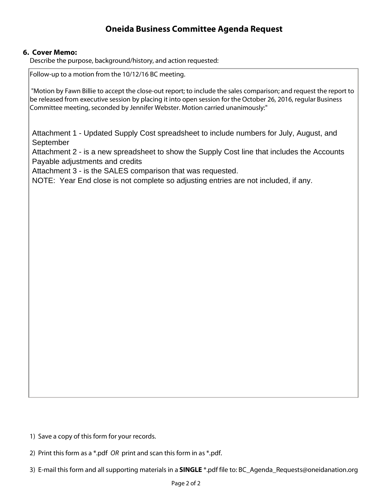### **Oneida Business Committee Agenda Request**

#### 6. Cover Memo:

Describe the purpose, background/history, and action requested:

Follow-up to a motion from the 10/12/16 BC meeting.

"Motion by Fawn Billie to accept the close-out report; to include the sales comparison; and request the report to be released from executive session by placing it into open session for the October 26, 2016, regular Business Committee meeting, seconded by Jennifer Webster. Motion carried unanimously:"

Attachment 1 - Updated Supply Cost spreadsheet to include numbers for July, August, and September

Attachment 2 - is a new spreadsheet to show the Supply Cost line that includes the Accounts Payable adjustments and credits

Attachment 3 - is the SALES comparison that was requested.

NOTE: Year End close is not complete so adjusting entries are not included, if any.

1) Save a copy of this form for your records.

2) Print this form as a \*.pdf  $OR$  print and scan this form in as \*.pdf.

3) E-mail this form and all supporting materials in a SINGLE \*.pdf file to: BC\_Agenda\_Requests@oneidanation.org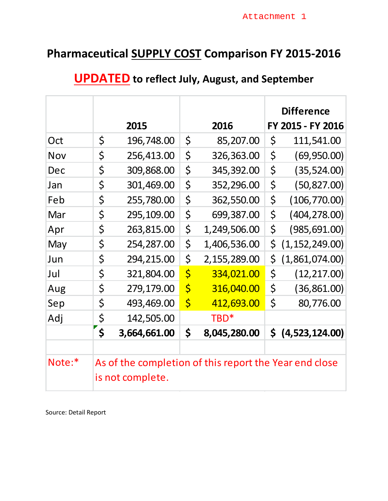## **Pharmaceutical SUPPLY COST Comparison FY 2015-2016**

|        |                    |                         |                                                        | <b>Difference</b>      |
|--------|--------------------|-------------------------|--------------------------------------------------------|------------------------|
|        | 2015               |                         | 2016                                                   | FY 2015 - FY 2016      |
| Oct    | \$<br>196,748.00   | \$                      | 85,207.00                                              | \$<br>111,541.00       |
| Nov    | \$<br>256,413.00   | \$                      | 326,363.00                                             | \$<br>(69, 950.00)     |
| Dec    | \$<br>309,868.00   | \$                      | 345,392.00                                             | \$<br>(35, 524.00)     |
| Jan    | \$<br>301,469.00   | \$                      | 352,296.00                                             | \$<br>(50, 827.00)     |
| Feb    | \$<br>255,780.00   | $\zeta$                 | 362,550.00                                             | \$<br>(106, 770.00)    |
| Mar    | \$<br>295,109.00   | \$                      | 699,387.00                                             | \$<br>(404, 278.00)    |
| Apr    | \$<br>263,815.00   | \$                      | 1,249,506.00                                           | \$<br>(985, 691.00)    |
| May    | \$<br>254,287.00   | \$                      | 1,406,536.00                                           | \$<br>(1, 152, 249.00) |
| Jun    | \$<br>294,215.00   | \$                      | 2,155,289.00                                           | \$<br>(1,861,074.00)   |
| Jul    | \$<br>321,804.00   | $\overline{\varsigma}$  | 334,021.00                                             | \$<br>(12, 217.00)     |
| Aug    | \$<br>279,179.00   | $\varsigma$             | 316,040.00                                             | \$<br>(36, 861.00)     |
| Sep    | \$<br>493,469.00   | $\overline{\mathsf{S}}$ | 412,693.00                                             | \$<br>80,776.00        |
| Adj    | \$<br>142,505.00   |                         | TBD <sup>*</sup>                                       |                        |
|        | \$<br>3,664,661.00 | \$                      | 8,045,280.00                                           | \$<br>(4,523,124.00)   |
|        |                    |                         |                                                        |                        |
| Note:* |                    |                         | As of the completion of this report the Year end close |                        |
|        | is not complete.   |                         |                                                        |                        |

## **UPDATED to reflect July, August, and September**

Source: Detail Report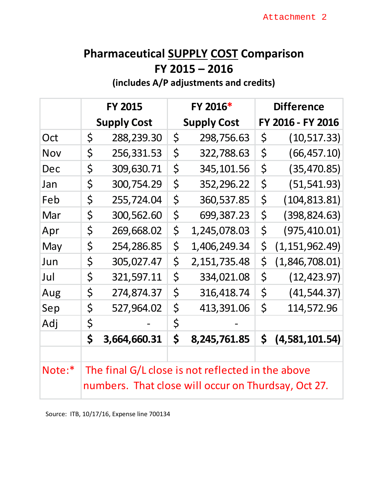## **Pharmaceutical SUPPLY COST Comparison FY 2015 – 2016**

**(includes A/P adjustments and credits)**

|            | <b>FY 2015</b> |                    | FY 2016* |                                                                                                          | <b>Difference</b> |                   |
|------------|----------------|--------------------|----------|----------------------------------------------------------------------------------------------------------|-------------------|-------------------|
|            |                | <b>Supply Cost</b> |          | <b>Supply Cost</b>                                                                                       |                   | FY 2016 - FY 2016 |
| Oct        | \$             | 288,239.30         | \$       | 298,756.63                                                                                               | \$                | (10, 517.33)      |
| <b>Nov</b> | \$             | 256,331.53         | \$       | 322,788.63                                                                                               | \$                | (66, 457.10)      |
| Dec        | \$             | 309,630.71         | \$       | 345, 101.56                                                                                              | \$                | (35, 470.85)      |
| Jan        | \$             | 300,754.29         | \$       | 352,296.22                                                                                               | \$                | (51, 541.93)      |
| Feb        | \$             | 255,724.04         | \$       | 360,537.85                                                                                               | \$                | (104, 813.81)     |
| Mar        | \$             | 300,562.60         | \$       | 699,387.23                                                                                               | \$                | (398, 824.63)     |
| Apr        | \$             | 269,668.02         | \$       | 1,245,078.03                                                                                             | \$                | (975, 410.01)     |
| May        | \$             | 254,286.85         | $\zeta$  | 1,406,249.34                                                                                             | \$                | (1, 151, 962.49)  |
| Jun        | \$             | 305,027.47         | \$       | 2, 151, 735.48                                                                                           | $\zeta$           | (1,846,708.01)    |
| Jul        | \$             | 321,597.11         | \$       | 334,021.08                                                                                               | \$                | (12, 423.97)      |
| Aug        | \$             | 274,874.37         | \$       | 316,418.74                                                                                               | \$                | (41, 544.37)      |
| Sep        | \$             | 527,964.02         | \$       | 413,391.06                                                                                               | $\zeta$           | 114,572.96        |
| Adj        | \$             |                    | \$       |                                                                                                          |                   |                   |
|            | \$             | 3,664,660.31       | \$       | 8,245,761.85                                                                                             | \$                | (4,581,101.54)    |
|            |                |                    |          |                                                                                                          |                   |                   |
| Note:*     |                |                    |          | The final G/L close is not reflected in the above<br>numbers. That close will occur on Thurdsay, Oct 27. |                   |                   |

Source: ITB, 10/17/16, Expense line 700134